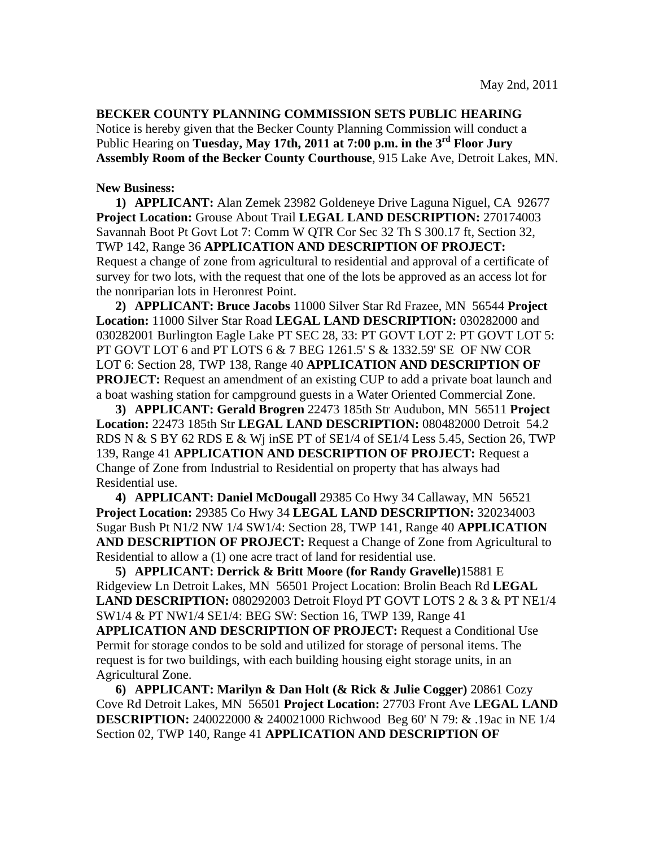**BECKER COUNTY PLANNING COMMISSION SETS PUBLIC HEARING**  Notice is hereby given that the Becker County Planning Commission will conduct a Public Hearing on **Tuesday, May 17th, 2011 at 7:00 p.m. in the 3rd Floor Jury Assembly Room of the Becker County Courthouse**, 915 Lake Ave, Detroit Lakes, MN.

## **New Business:**

**1) APPLICANT:** Alan Zemek 23982 Goldeneye Drive Laguna Niguel, CA 92677 **Project Location:** Grouse About Trail **LEGAL LAND DESCRIPTION:** 270174003 Savannah Boot Pt Govt Lot 7: Comm W QTR Cor Sec 32 Th S 300.17 ft, Section 32, TWP 142, Range 36 **APPLICATION AND DESCRIPTION OF PROJECT:** Request a change of zone from agricultural to residential and approval of a certificate of survey for two lots, with the request that one of the lots be approved as an access lot for the nonriparian lots in Heronrest Point.

**2) APPLICANT: Bruce Jacobs** 11000 Silver Star Rd Frazee, MN 56544 **Project Location:** 11000 Silver Star Road **LEGAL LAND DESCRIPTION:** 030282000 and 030282001 Burlington Eagle Lake PT SEC 28, 33: PT GOVT LOT 2: PT GOVT LOT 5: PT GOVT LOT 6 and PT LOTS 6 & 7 BEG 1261.5' S & 1332.59' SE OF NW COR LOT 6: Section 28, TWP 138, Range 40 **APPLICATION AND DESCRIPTION OF PROJECT:** Request an amendment of an existing CUP to add a private boat launch and a boat washing station for campground guests in a Water Oriented Commercial Zone.

**3) APPLICANT: Gerald Brogren** 22473 185th Str Audubon, MN 56511 **Project Location:** 22473 185th Str **LEGAL LAND DESCRIPTION:** 080482000 Detroit 54.2 RDS N & S BY 62 RDS E & Wj inSE PT of SE1/4 of SE1/4 Less 5.45, Section 26, TWP 139, Range 41 **APPLICATION AND DESCRIPTION OF PROJECT:** Request a Change of Zone from Industrial to Residential on property that has always had Residential use.

**4) APPLICANT: Daniel McDougall** 29385 Co Hwy 34 Callaway, MN 56521 **Project Location:** 29385 Co Hwy 34 **LEGAL LAND DESCRIPTION:** 320234003 Sugar Bush Pt N1/2 NW 1/4 SW1/4: Section 28, TWP 141, Range 40 **APPLICATION AND DESCRIPTION OF PROJECT:** Request a Change of Zone from Agricultural to Residential to allow a (1) one acre tract of land for residential use.

**5) APPLICANT: Derrick & Britt Moore (for Randy Gravelle)**15881 E Ridgeview Ln Detroit Lakes, MN 56501 Project Location: Brolin Beach Rd **LEGAL LAND DESCRIPTION:** 080292003 Detroit Floyd PT GOVT LOTS 2 & 3 & PT NE1/4 SW1/4 & PT NW1/4 SE1/4: BEG SW: Section 16, TWP 139, Range 41 **APPLICATION AND DESCRIPTION OF PROJECT:** Request a Conditional Use Permit for storage condos to be sold and utilized for storage of personal items. The request is for two buildings, with each building housing eight storage units, in an Agricultural Zone.

**6) APPLICANT: Marilyn & Dan Holt (& Rick & Julie Cogger)** 20861 Cozy Cove Rd Detroit Lakes, MN 56501 **Project Location:** 27703 Front Ave **LEGAL LAND DESCRIPTION:** 240022000 & 240021000 Richwood Beg 60' N 79: & .19ac in NE 1/4 Section 02, TWP 140, Range 41 **APPLICATION AND DESCRIPTION OF**